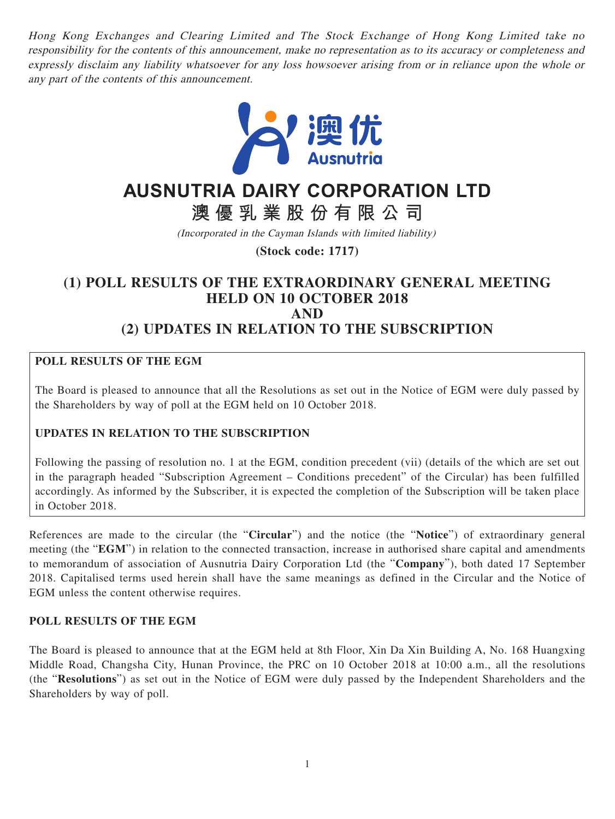Hong Kong Exchanges and Clearing Limited and The Stock Exchange of Hong Kong Limited take no responsibility for the contents of this announcement, make no representation as to its accuracy or completeness and expressly disclaim any liability whatsoever for any loss howsoever arising from or in reliance upon the whole or any part of the contents of this announcement.



# **AUSNUTRIA DAIRY CORPORATION LTD**

**澳優乳業股份有限公司**

(Incorporated in the Cayman Islands with limited liability)

**(Stock code: 1717)**

## **(1) POLL RESULTS OF THE EXTRAORDINARY GENERAL MEETING HELD ON 10 OCTOBER 2018 AND (2) UPDATES IN RELATION TO THE SUBSCRIPTION**

### **POLL RESULTS OF THE EGM**

The Board is pleased to announce that all the Resolutions as set out in the Notice of EGM were duly passed by the Shareholders by way of poll at the EGM held on 10 October 2018.

### **UPDATES IN RELATION TO THE SUBSCRIPTION**

Following the passing of resolution no. 1 at the EGM, condition precedent (vii) (details of the which are set out in the paragraph headed "Subscription Agreement – Conditions precedent" of the Circular) has been fulfilled accordingly. As informed by the Subscriber, it is expected the completion of the Subscription will be taken place in October 2018.

References are made to the circular (the "**Circular**") and the notice (the "**Notice**") of extraordinary general meeting (the "**EGM**") in relation to the connected transaction, increase in authorised share capital and amendments to memorandum of association of Ausnutria Dairy Corporation Ltd (the "**Company**"), both dated 17 September 2018. Capitalised terms used herein shall have the same meanings as defined in the Circular and the Notice of EGM unless the content otherwise requires.

#### **POLL RESULTS OF THE EGM**

The Board is pleased to announce that at the EGM held at 8th Floor, Xin Da Xin Building A, No. 168 Huangxing Middle Road, Changsha City, Hunan Province, the PRC on 10 October 2018 at 10:00 a.m., all the resolutions (the "**Resolutions**") as set out in the Notice of EGM were duly passed by the Independent Shareholders and the Shareholders by way of poll.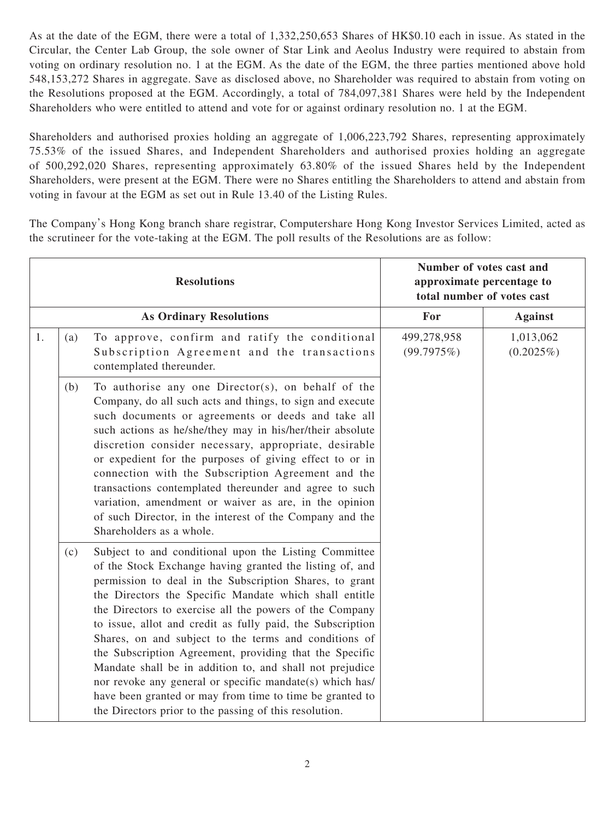As at the date of the EGM, there were a total of 1,332,250,653 Shares of HK\$0.10 each in issue. As stated in the Circular, the Center Lab Group, the sole owner of Star Link and Aeolus Industry were required to abstain from voting on ordinary resolution no. 1 at the EGM. As the date of the EGM, the three parties mentioned above hold 548,153,272 Shares in aggregate. Save as disclosed above, no Shareholder was required to abstain from voting on the Resolutions proposed at the EGM. Accordingly, a total of 784,097,381 Shares were held by the Independent Shareholders who were entitled to attend and vote for or against ordinary resolution no. 1 at the EGM.

Shareholders and authorised proxies holding an aggregate of 1,006,223,792 Shares, representing approximately 75.53% of the issued Shares, and Independent Shareholders and authorised proxies holding an aggregate of 500,292,020 Shares, representing approximately 63.80% of the issued Shares held by the Independent Shareholders, were present at the EGM. There were no Shares entitling the Shareholders to attend and abstain from voting in favour at the EGM as set out in Rule 13.40 of the Listing Rules.

The Company's Hong Kong branch share registrar, Computershare Hong Kong Investor Services Limited, acted as the scrutineer for the vote-taking at the EGM. The poll results of the Resolutions are as follow:

| <b>Resolutions</b>             |     |                                                                                                                                                                                                                                                                                                                                                                                                                                                                                                                                                                                                                                                                                                                                   | Number of votes cast and<br>approximate percentage to<br>total number of votes cast |                           |
|--------------------------------|-----|-----------------------------------------------------------------------------------------------------------------------------------------------------------------------------------------------------------------------------------------------------------------------------------------------------------------------------------------------------------------------------------------------------------------------------------------------------------------------------------------------------------------------------------------------------------------------------------------------------------------------------------------------------------------------------------------------------------------------------------|-------------------------------------------------------------------------------------|---------------------------|
| <b>As Ordinary Resolutions</b> |     |                                                                                                                                                                                                                                                                                                                                                                                                                                                                                                                                                                                                                                                                                                                                   | For                                                                                 | <b>Against</b>            |
| 1.                             | (a) | To approve, confirm and ratify the conditional<br>Subscription Agreement and the transactions<br>contemplated thereunder.                                                                                                                                                                                                                                                                                                                                                                                                                                                                                                                                                                                                         | 499,278,958<br>(99.7975%)                                                           | 1,013,062<br>$(0.2025\%)$ |
|                                | (b) | To authorise any one Director(s), on behalf of the<br>Company, do all such acts and things, to sign and execute<br>such documents or agreements or deeds and take all<br>such actions as he/she/they may in his/her/their absolute<br>discretion consider necessary, appropriate, desirable<br>or expedient for the purposes of giving effect to or in<br>connection with the Subscription Agreement and the<br>transactions contemplated thereunder and agree to such<br>variation, amendment or waiver as are, in the opinion<br>of such Director, in the interest of the Company and the<br>Shareholders as a whole.                                                                                                           |                                                                                     |                           |
|                                | (c) | Subject to and conditional upon the Listing Committee<br>of the Stock Exchange having granted the listing of, and<br>permission to deal in the Subscription Shares, to grant<br>the Directors the Specific Mandate which shall entitle<br>the Directors to exercise all the powers of the Company<br>to issue, allot and credit as fully paid, the Subscription<br>Shares, on and subject to the terms and conditions of<br>the Subscription Agreement, providing that the Specific<br>Mandate shall be in addition to, and shall not prejudice<br>nor revoke any general or specific mandate(s) which has/<br>have been granted or may from time to time be granted to<br>the Directors prior to the passing of this resolution. |                                                                                     |                           |